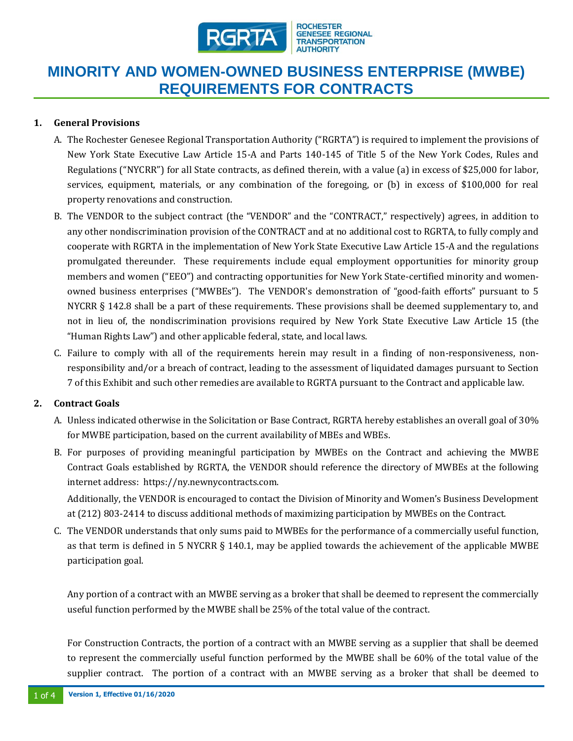

## **MINORITY AND WOMEN-OWNED BUSINESS ENTERPRISE (MWBE) REQUIREMENTS FOR CONTRACTS**

## **1. General Provisions**

- A. The Rochester Genesee Regional Transportation Authority ("RGRTA") is required to implement the provisions of New York State Executive Law Article 15-A and Parts 140-145 of Title 5 of the New York Codes, Rules and Regulations ("NYCRR") for all State contracts, as defined therein, with a value (a) in excess of \$25,000 for labor, services, equipment, materials, or any combination of the foregoing, or (b) in excess of \$100,000 for real property renovations and construction.
- B. The VENDOR to the subject contract (the "VENDOR" and the "CONTRACT," respectively) agrees, in addition to any other nondiscrimination provision of the CONTRACT and at no additional cost to RGRTA, to fully comply and cooperate with RGRTA in the implementation of New York State Executive Law Article 15-A and the regulations promulgated thereunder. These requirements include equal employment opportunities for minority group members and women ("EEO") and contracting opportunities for New York State-certified minority and womenowned business enterprises ("MWBEs"). The VENDOR's demonstration of "good-faith efforts" pursuant to 5 NYCRR § 142.8 shall be a part of these requirements. These provisions shall be deemed supplementary to, and not in lieu of, the nondiscrimination provisions required by New York State Executive Law Article 15 (the "Human Rights Law") and other applicable federal, state, and local laws.
- C. Failure to comply with all of the requirements herein may result in a finding of non-responsiveness, nonresponsibility and/or a breach of contract, leading to the assessment of liquidated damages pursuant to Section 7 of this Exhibit and such other remedies are available to RGRTA pursuant to the Contract and applicable law.

## **2. Contract Goals**

- A. Unless indicated otherwise in the Solicitation or Base Contract, RGRTA hereby establishes an overall goal of 30% for MWBE participation, based on the current availability of MBEs and WBEs.
- B. For purposes of providing meaningful participation by MWBEs on the Contract and achieving the MWBE Contract Goals established by RGRTA, the VENDOR should reference the directory of MWBEs at the following internet address: https://ny.newnycontracts.com.

Additionally, the VENDOR is encouraged to contact the Division of Minority and Women's Business Development at (212) 803-2414 to discuss additional methods of maximizing participation by MWBEs on the Contract.

C. The VENDOR understands that only sums paid to MWBEs for the performance of a commercially useful function, as that term is defined in 5 NYCRR § 140.1, may be applied towards the achievement of the applicable MWBE participation goal.

Any portion of a contract with an MWBE serving as a broker that shall be deemed to represent the commercially useful function performed by the MWBE shall be 25% of the total value of the contract.

For Construction Contracts, the portion of a contract with an MWBE serving as a supplier that shall be deemed to represent the commercially useful function performed by the MWBE shall be 60% of the total value of the supplier contract. The portion of a contract with an MWBE serving as a broker that shall be deemed to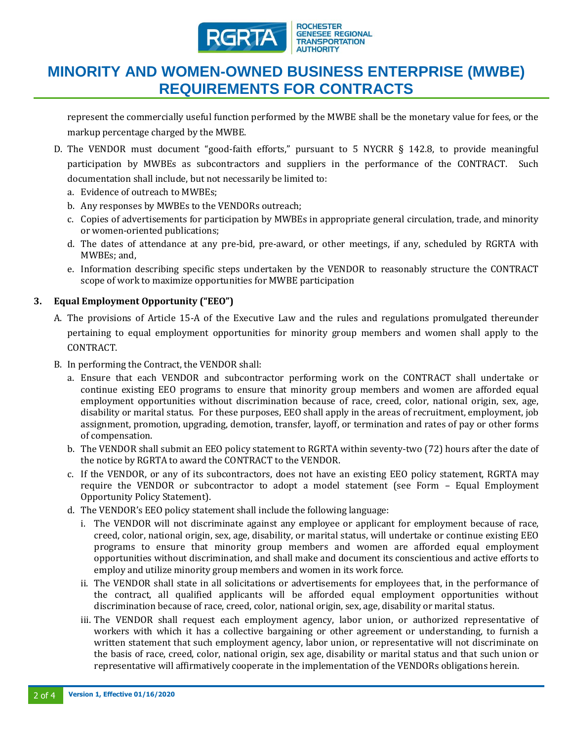

## **MINORITY AND WOMEN-OWNED BUSINESS ENTERPRISE (MWBE) REQUIREMENTS FOR CONTRACTS**

represent the commercially useful function performed by the MWBE shall be the monetary value for fees, or the markup percentage charged by the MWBE.

- D. The VENDOR must document "good-faith efforts," pursuant to 5 NYCRR § 142.8, to provide meaningful participation by MWBEs as subcontractors and suppliers in the performance of the CONTRACT. Such documentation shall include, but not necessarily be limited to:
	- a. Evidence of outreach to MWBEs;
	- b. Any responses by MWBEs to the VENDORs outreach;
	- c. Copies of advertisements for participation by MWBEs in appropriate general circulation, trade, and minority or women-oriented publications;
	- d. The dates of attendance at any pre-bid, pre-award, or other meetings, if any, scheduled by RGRTA with MWBEs; and,
	- e. Information describing specific steps undertaken by the VENDOR to reasonably structure the CONTRACT scope of work to maximize opportunities for MWBE participation

## **3. Equal Employment Opportunity ("EEO")**

- A. The provisions of Article 15-A of the Executive Law and the rules and regulations promulgated thereunder pertaining to equal employment opportunities for minority group members and women shall apply to the CONTRACT.
- B. In performing the Contract, the VENDOR shall:
	- a. Ensure that each VENDOR and subcontractor performing work on the CONTRACT shall undertake or continue existing EEO programs to ensure that minority group members and women are afforded equal employment opportunities without discrimination because of race, creed, color, national origin, sex, age, disability or marital status. For these purposes, EEO shall apply in the areas of recruitment, employment, job assignment, promotion, upgrading, demotion, transfer, layoff, or termination and rates of pay or other forms of compensation.
	- b. The VENDOR shall submit an EEO policy statement to RGRTA within seventy-two (72) hours after the date of the notice by RGRTA to award the CONTRACT to the VENDOR.
	- c. If the VENDOR, or any of its subcontractors, does not have an existing EEO policy statement, RGRTA may require the VENDOR or subcontractor to adopt a model statement (see Form – Equal Employment Opportunity Policy Statement).
	- d. The VENDOR's EEO policy statement shall include the following language:
		- i. The VENDOR will not discriminate against any employee or applicant for employment because of race, creed, color, national origin, sex, age, disability, or marital status, will undertake or continue existing EEO programs to ensure that minority group members and women are afforded equal employment opportunities without discrimination, and shall make and document its conscientious and active efforts to employ and utilize minority group members and women in its work force.
		- ii. The VENDOR shall state in all solicitations or advertisements for employees that, in the performance of the contract, all qualified applicants will be afforded equal employment opportunities without discrimination because of race, creed, color, national origin, sex, age, disability or marital status.
		- iii. The VENDOR shall request each employment agency, labor union, or authorized representative of workers with which it has a collective bargaining or other agreement or understanding, to furnish a written statement that such employment agency, labor union, or representative will not discriminate on the basis of race, creed, color, national origin, sex age, disability or marital status and that such union or representative will affirmatively cooperate in the implementation of the VENDORs obligations herein.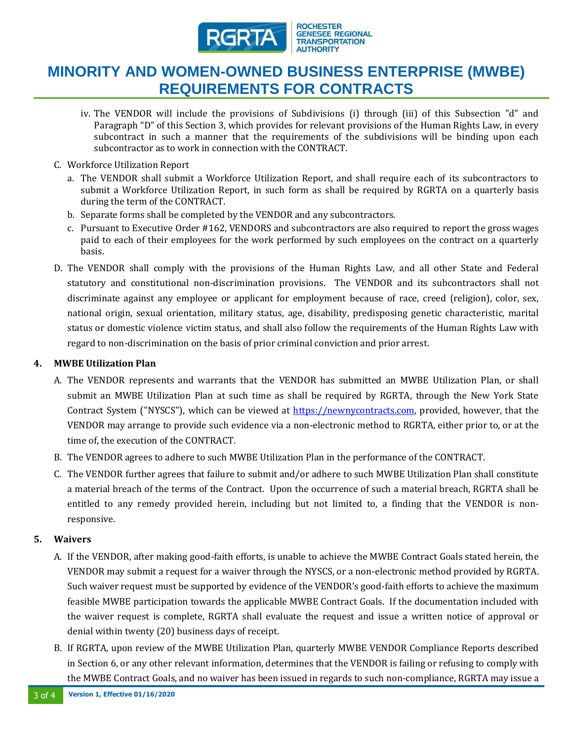

## **MINORITY AND WOMEN-OWNED BUSINESS ENTERPRISE (MWBE) REQUIREMENTS FOR CONTRACTS**

- iv. The VENDOR will include the provisions of Subdivisions (i) through (iii) of this Subsection "d" and Paragraph "D" of this Section 3, which provides for relevant provisions of the Human Rights Law, in every subcontract in such a manner that the requirements of the subdivisions will be binding upon each subcontractor as to work in connection with the CONTRACT.
- C. Workforce Utilization Report
	- a. The VENDOR shall submit a Workforce Utilization Report, and shall require each of its subcontractors to submit a Workforce Utilization Report, in such form as shall be required by RGRTA on a quarterly basis during the term of the CONTRACT.
	- b. Separate forms shall be completed by the VENDOR and any subcontractors.
	- c. Pursuant to Executive Order #162, VENDORS and subcontractors are also required to report the gross wages paid to each of their employees for the work performed by such employees on the contract on a quarterly basis.
- D. The VENDOR shall comply with the provisions of the Human Rights Law, and all other State and Federal statutory and constitutional non-discrimination provisions. The VENDOR and its subcontractors shall not discriminate against any employee or applicant for employment because of race, creed (religion), color, sex, national origin, sexual orientation, military status, age, disability, predisposing genetic characteristic, marital status or domestic violence victim status, and shall also follow the requirements of the Human Rights Law with regard to non-discrimination on the basis of prior criminal conviction and prior arrest.

#### **4. MWBE Utilization Plan**

- A. The VENDOR represents and warrants that the VENDOR has submitted an MWBE Utilization Plan, or shall submit an MWBE Utilization Plan at such time as shall be required by RGRTA, through the New York State Contract System ("NYSCS"), which can be viewed at [https://newnycontracts.com,](https://newnycontracts.com/) provided, however, that the VENDOR may arrange to provide such evidence via a non-electronic method to RGRTA, either prior to, or at the time of, the execution of the CONTRACT.
- B. The VENDOR agrees to adhere to such MWBE Utilization Plan in the performance of the CONTRACT.
- C. The VENDOR further agrees that failure to submit and/or adhere to such MWBE Utilization Plan shall constitute a material breach of the terms of the Contract. Upon the occurrence of such a material breach, RGRTA shall be entitled to any remedy provided herein, including but not limited to, a finding that the VENDOR is nonresponsive.

#### **5. Waivers**

- A. If the VENDOR, after making good-faith efforts, is unable to achieve the MWBE Contract Goals stated herein, the VENDOR may submit a request for a waiver through the NYSCS, or a non-electronic method provided by RGRTA. Such waiver request must be supported by evidence of the VENDOR's good-faith efforts to achieve the maximum feasible MWBE participation towards the applicable MWBE Contract Goals. If the documentation included with the waiver request is complete, RGRTA shall evaluate the request and issue a written notice of approval or denial within twenty (20) business days of receipt.
- B. If RGRTA, upon review of the MWBE Utilization Plan, quarterly MWBE VENDOR Compliance Reports described in Section 6, or any other relevant information, determines that the VENDOR is failing or refusing to comply with the MWBE Contract Goals, and no waiver has been issued in regards to such non-compliance, RGRTA may issue a